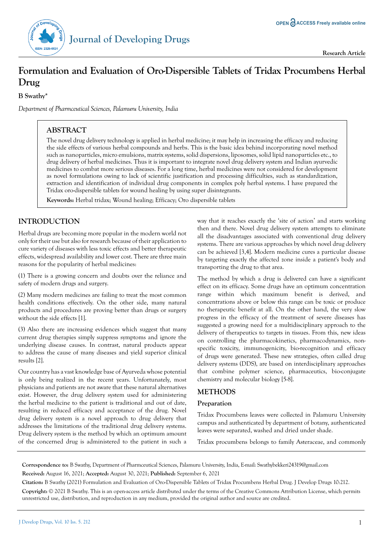

# **Formulation and Evaluation of Oro-Dispersible Tablets of Tridax Procumbens Herbal Drug**

**B Swathy\***

*Department of Pharmceutical Sciences, Palamuru University, India*

# **ABSTRACT**

The novel drug delivery technology is applied in herbal medicine; it may help in increasing the efficacy and reducing the side effects of various herbal compounds and herbs. This is the basic idea behind incorporating novel method such as nanoparticles, micro emulsions, matrix systems, solid dispersions, liposomes, solid lipid nanoparticles etc., to drug delivery of herbal medicines. Thus it is important to integrate novel drug delivery system and Indian ayurvedic medicines to combat more serious diseases. For a long time, herbal medicines were not considered for development as novel formulations owing to lack of scientific justification and processing difficulties, such as standardization, extraction and identification of individual drug components in complex poly herbal systems. I have prepared the Tridax oro-dispersible tablets for wound healing by using super disintegrants.

**Keywords:** Herbal tridax; Wound healing; Efficacy; Oro dispersible tablets

# **INTRODUCTION**

Herbal drugs are becoming more popular in the modern world not only for their use but also for research because of their application to cure variety of diseases with less toxic effects and better therapeutic effects, widespread availability and lower cost. There are three main reasons for the popularity of herbal medicines:

(1) There is a growing concern and doubts over the reliance and safety of modern drugs and surgery.

(2) Many modern medicines are failing to treat the most common health conditions effectively. On the other side, many natural products and procedures are proving better than drugs or surgery without the side effects [1].

(3) Also there are increasing evidences which suggest that many current drug therapies simply suppress symptoms and ignore the underlying disease causes. In contrast, natural products appear to address the cause of many diseases and yield superior clinical results [2].

Our country has a vast knowledge base of Ayurveda whose potential is only being realized in the recent years. Unfortunately, most physicians and patients are not aware that these natural alternatives exist. However, the drug delivery system used for administering the herbal medicine to the patient is traditional and out of date, resulting in reduced efficacy and acceptance of the drug. Novel drug delivery system is a novel approach to drug delivery that addresses the limitations of the traditional drug delivery systems. Drug delivery system is the method by which an optimum amount of the concerned drug is administered to the patient in such a way that it reaches exactly the 'site of action' and starts working then and there. Novel drug delivery system attempts to eliminate all the disadvantages associated with conventional drug delivery systems. There are various approaches by which novel drug delivery can be achieved [3,4]. Modern medicine cures a particular disease by targeting exactly the affected zone inside a patient's body and transporting the drug to that area.

The method by which a drug is delivered can have a significant effect on its efficacy. Some drugs have an optimum concentration range within which maximum benefit is derived, and concentrations above or below this range can be toxic or produce no therapeutic benefit at all. On the other hand, the very slow progress in the efficacy of the treatment of severe diseases has suggested a growing need for a multidisciplinary approach to the delivery of therapeutics to targets in tissues. From this, new ideas on controlling the pharmacokinetics, pharmacodynamics, nonspecific toxicity, immunogenicity, bio-recognition and efficacy of drugs were generated. These new strategies, often called drug delivery systems (DDS), are based on interdisciplinary approaches that combine polymer science, pharmaceutics, bio-conjugate chemistry and molecular biology [5-8].

## **METHODS**

## **Preparation**

Tridax Procumbens leaves were collected in Palamuru University campus and authenticated by department of botany, authenticated leaves were separated, washed and dried under shade.

Tridax procumbens belongs to family Asteraceae, and commonly

**Correspondence to:** B Swathy, Department of Pharmceutical Sciences, Palamuru University, India, E-mail: Swathybekkeri24319@gmail.com **Received:** August 16, 2021; **Accepted:** August 30, 2021; **Published:** September 6, 2021

**Citation:** B Swathy (2021) Formulation and Evaluation of Oro-Dispersible Tablets of Tridax Procumbens Herbal Drug. J Develop Drugs 10:212.

**Copyright:** © 2021 B Swathy. This is an open-access article distributed under the terms of the Creative Commons Attribution License, which permits unrestricted use, distribution, and reproduction in any medium, provided the original author and source are credited.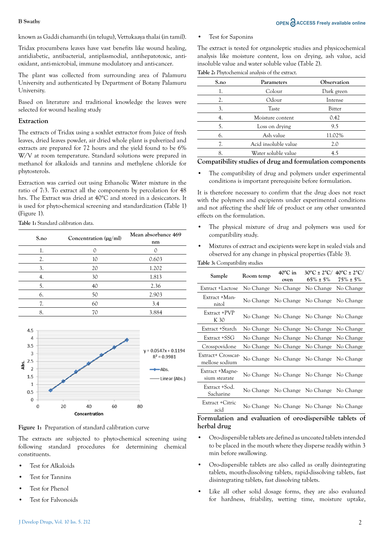known as Gaddi chamanthi (in telugu), Vettukaaya thalai (in tamil).

Tridax procumbens leaves have vast benefits like wound healing, antidiabetic, antibacterial, antiplasmodial, antihepatotoxic, antioxidant, anti-microbial, immune modulatory and anti-cancer.

The plant was collected from surrounding area of Palamuru University and authenticated by Department of Botany Palamuru University.

Based on literature and traditional knowledge the leaves were selected for wound healing study

#### **Extraction**

The extracts of Tridax using a soxhlet extractor from Juice of fresh leaves, dried leaves powder, air dried whole plant is pulverized and extracts are prepared for 72 hours and the yield found to be 6% W/V at room temperature. Standard solutions were prepared in methanol for alkaloids and tannins and methylene chloride for phytosterols.

Extraction was carried out using Ethanolic Water mixture in the ratio of 7:3. To extract all the components by percolation for 48 hrs. The Extract was dried at 40°C and stored in a desiccators. It is used for phyto-chemical screening and standardization (Table 1) (Figure 1).

**Table 1:** Standard calibration data.

| S.no | Concentration $(\mu g/ml)$ | Mean absorbance 469<br>nm |  |  |
|------|----------------------------|---------------------------|--|--|
| l.   |                            |                           |  |  |
| 2.   | 10                         | 0.603                     |  |  |
| 3.   | 20                         | 1.202                     |  |  |
| 4.   | 30                         | 1.813                     |  |  |
| 5.   | 40                         | 2.36                      |  |  |
| 6.   | 50                         | 2.903                     |  |  |
| 7.   | 60                         | 3.4                       |  |  |
| 8.   | 70                         | 3.884                     |  |  |



**Figure 1:** Preparation of standard calibration curve

The extracts are subjected to phyto-chemical screening using following standard procedures for determining chemical constituents.

- Test for Alkaloids
- Test for Tannins
- Test for Phenol
- Test for Falvonoids
- **B** Swathy **OPEN ACCESS** Freely available online
	- Test for Saponins

The extract is tested for organoleptic studies and physicochemical analysis like moisture content, loss on drying, ash value, acid insoluble value and water soluble value (Table 2).

**Table 2:** Phytochemical analysis of the extract.

| S.no | Parameters           | Observation |
|------|----------------------|-------------|
| 1.   | Colour               | Dark green  |
| 2.   | Odour                | Intense     |
| 3.   | <b>Taste</b>         | Bitter      |
| 4.   | Moisture content     | 0.42        |
| 5.   | Loss on drying       | 9.5         |
| 6.   | Ash value            | 11.02%      |
| 7.   | Acid insoluble value | 2.0         |
| 8.   | Water soluble value  | 4.5         |

### **Compatibility studies of drug and formulation components**

• The compatibility of drug and polymers under experimental conditions is important prerequisite before formulation.

It is therefore necessary to confirm that the drug does not react with the polymers and excipients under experimental conditions and not affecting the shelf life of product or any other unwanted effects on the formulation.

- The physical mixture of drug and polymers was used for compatibility study.
- Mixtures of extract and excipients were kept in sealed vials and observed for any change in physical properties (Table 3).

| Table 3: Compatibility studies       |           |                           |                               |                                                               |  |  |  |  |  |
|--------------------------------------|-----------|---------------------------|-------------------------------|---------------------------------------------------------------|--|--|--|--|--|
| Sample                               | Room temp | $40^{\circ}$ C in<br>oven | $65\% \pm 5\%$                | $30^{\circ}$ C ± 2°C/ $40^{\circ}$ C ± 2°C/<br>$75\% \pm 5\%$ |  |  |  |  |  |
| Extract +Lactose                     | No Change | No Change                 | No Change                     | No Change                                                     |  |  |  |  |  |
| Extract +Man-<br>nitol               | No Change | No Change                 | No Change                     | No Change                                                     |  |  |  |  |  |
| Extract +PVP<br>K 30                 | No Change |                           | No Change No Change           | No Change                                                     |  |  |  |  |  |
| Extract +Starch                      | No Change | No Change                 | No Change                     | No Change                                                     |  |  |  |  |  |
| Extract +SSG                         | No Change | No Change                 | No Change                     | No Change                                                     |  |  |  |  |  |
| Crosspovidone                        | No Change | No Change                 | No Change                     | No Change                                                     |  |  |  |  |  |
| Extract+ Crosscar-<br>mellose sodium | No Change |                           | No Change No Change           | No Change                                                     |  |  |  |  |  |
| Extract +Magne-<br>sium stearate     | No Change |                           | No Change No Change           | No Change                                                     |  |  |  |  |  |
| Extract +Sod.<br>Sacharine           | No Change |                           | No Change No Change           | No Change                                                     |  |  |  |  |  |
| Extract +Citric<br>acid              | No Change |                           | No Change No Change No Change |                                                               |  |  |  |  |  |

#### **Formulation and evaluation of oro-dispersible tablets of herbal drug**

- Oro-dispersible tablets are defined as uncoated tablets intended to be placed in the mouth where they disperse readily within 3 min before swallowing.
- Oro-dispersible tablets are also called as orally disintegrating tablets, mouth-dissolving tablets, rapid-dissolving tablets, fast disintegrating tablets, fast dissolving tablets.
- Like all other solid dosage forms, they are also evaluated for hardness, friability, wetting time, moisture uptake,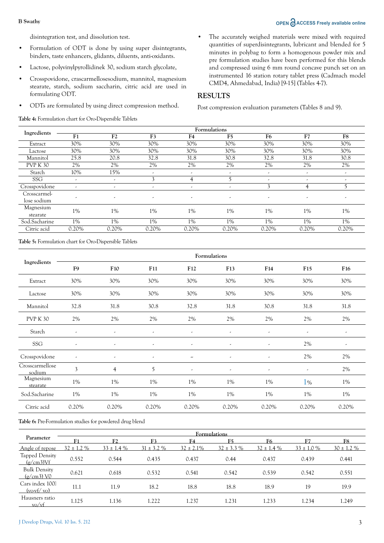### **B** Swathy **OPEN ACCESS Freely available online**

disintegration test, and dissolution test.

- Formulation of ODT is done by using super disintegrants, binders, taste enhancers, glidants, diluents, anti-oxidants.
- Lactose, polyvinylpyrollidinek 30, sodium starch glycolate,
- Crosspovidone, crascarmellosesodium, mannitol, magnesium stearate, starch, sodium saccharin, citric acid are used in formulating ODT.
- ODTs are formulated by using direct compression method.

**Table 4:** Formulation chart for Oro-Dispersible Tablets

The accurately weighed materials were mixed with required quantities of superdisintegrants, lubricant and blended for 5 minutes in polybag to form a homogenous powder mix and pre formulation studies have been performed for this blends and compressed using 6 mm round concave punch set on an instrumented 16 station rotary tablet press (Cadmach model CMD4, Ahmedabad, India) [9-15] (Tables 4-7).

# **RESULTS**

Post compression evaluation parameters (Tables 8 and 9).

|                             | Formulations |                          |                          |                          |                          |                          |       |                          |  |
|-----------------------------|--------------|--------------------------|--------------------------|--------------------------|--------------------------|--------------------------|-------|--------------------------|--|
| Ingredients                 | F1           | F <sub>2</sub>           | F <sub>3</sub>           | F <sub>4</sub>           | F <sub>5</sub>           | F <sub>6</sub>           | F7    | F <sub>8</sub>           |  |
| Extract                     | 30%          | 30%                      | 30%                      | 30%                      | 30%                      | 30%                      | 30%   | 30%                      |  |
| Lactose                     | 30%          | 30%                      | 30%                      | 30%                      | 30%                      | 30%                      | 30%   | 30%                      |  |
| Mannitol                    | 25.8         | 20.8                     | 32.8                     | 31.8                     | 30.8                     | 32.8                     | 31.8  | 30.8                     |  |
| <b>PVP K30</b>              | 2%           | 2%                       | 2%                       | 2%                       | 2%                       | 2%                       | 2%    | 2%                       |  |
| Starch                      | 10%          | 15%                      | $\overline{\phantom{a}}$ | ٠                        | $\overline{\phantom{a}}$ | ٠                        | ٠     | $\overline{\phantom{a}}$ |  |
| <b>SSG</b>                  | ٠            | $\overline{\phantom{a}}$ | 3                        | 4                        | 5                        | $\overline{\phantom{a}}$ | ٠     | $\overline{\phantom{a}}$ |  |
| Crosspovidone               | ٠            | $\overline{\phantom{a}}$ | $\overline{\phantom{a}}$ | $\overline{\phantom{a}}$ | $\overline{\phantom{a}}$ | 3                        | 4     |                          |  |
| Crosscarmel-<br>lose sodium | ٠            | $\overline{\phantom{a}}$ | $\overline{\phantom{a}}$ | $\overline{\phantom{a}}$ | $\overline{\phantom{a}}$ | ٠                        | ٠     | $\overline{\phantom{a}}$ |  |
| Magnesium<br>stearate       | 1%           | 1%                       | 1%                       | 1%                       | 1%                       | 1%                       | 1%    | $1\%$                    |  |
| Sod.Sacharine               | $1\%$        | 1%                       | $1\%$                    | 1%                       | 1%                       | 1%                       | 1%    | $1\%$                    |  |
| Citric acid                 | 0.20%        | 0.20%                    | 0.20%                    | 0.20%                    | 0.20%                    | 0.20%                    | 0.20% | 0.20%                    |  |

**Table 5:** Formulation chart for Oro-Dispersible Tablets

|                           | Formulations             |                          |                          |                          |                          |                          |                          |                          |  |
|---------------------------|--------------------------|--------------------------|--------------------------|--------------------------|--------------------------|--------------------------|--------------------------|--------------------------|--|
| Ingredients               | F <sub>9</sub>           | F10                      | F11                      | F12                      | F <sub>13</sub>          | F14                      | F <sub>15</sub>          | F <sub>16</sub>          |  |
| Extract                   | 30%                      | 30%                      | 30%                      | 30%                      | 30%                      | 30%                      | 30%                      | 30%                      |  |
| Lactose                   | 30%                      | 30%                      | 30%                      | 30%                      | 30%                      | 30%                      | 30%                      | 30%                      |  |
| Mannitol                  | 32.8                     | 31.8                     | 30.8                     | 32.8                     | 31.8                     | 30.8                     | 31.8                     | 31.8                     |  |
| <b>PVP K 30</b>           | 2%                       | 2%                       | 2%                       | 2%                       | 2%                       | 2%                       | 2%                       | 2%                       |  |
| Starch                    | $\overline{\phantom{a}}$ | $\overline{\phantom{a}}$ | $\overline{\phantom{a}}$ | $\overline{\phantom{a}}$ | $\overline{\phantom{a}}$ | $\overline{\phantom{a}}$ | ٠                        | ٠                        |  |
| SSG                       | ٠                        | ٠                        | ٠                        | ٠                        | ٠                        | $\overline{\phantom{a}}$ | 2%                       | $\overline{\phantom{a}}$ |  |
| Crosspovidone             | $\overline{\phantom{a}}$ | $\overline{\phantom{a}}$ | $\overline{\phantom{a}}$ | $\tilde{\phantom{a}}$    | $\overline{\phantom{a}}$ | $\overline{\phantom{a}}$ | 2%                       | 2%                       |  |
| Crosscarmellose<br>sodium | 3                        | $\overline{4}$           | 5                        | $\overline{\phantom{a}}$ | $\overline{\phantom{a}}$ | $\overline{\phantom{a}}$ | $\overline{\phantom{a}}$ | $2\%$                    |  |
| Magnesium<br>stearate     | $1\%$                    | 1%                       | 1%                       | $1\%$                    | $1\%$                    | $1\%$                    | $1\%$                    | 1%                       |  |
| Sod.Sacharine             | 1%                       | 1%                       | 1%                       | 1%                       | 1%                       | 1%                       | 1%                       | $1\%$                    |  |
| Citric acid               | 0.20%                    | 0.20%                    | 0.20%                    | 0.20%                    | 0.20%                    | 0.20%                    | 0.20%                    | 0.20%                    |  |

**Table 6:** Pre-Formulation studies for powdered drug blend

|                                                 | <b>Formulations</b> |                 |                 |                |                 |                |                 |                 |
|-------------------------------------------------|---------------------|-----------------|-----------------|----------------|-----------------|----------------|-----------------|-----------------|
| Parameter                                       | Е1                  | F2              | F <sub>3</sub>  | F4             | F5              | F6             | Е7              | F8              |
| Angle of repose                                 | $32 \pm 1.2 \%$     | $33 \pm 1.4 \%$ | $31 \pm 3.2 \%$ | $32 \pm 2.1\%$ | $32 \pm 3.3 \%$ | $32 \pm 1.4\%$ | $33 \pm 1.0 \%$ | $30 \pm 1.2 \%$ |
| <b>Tapped Density</b><br>$(g/cm3)$ Vf           | 0.552               | 0.544           | 0.435           | 0.437          | 0.44            | 0.437          | 0.439           | 0.441           |
| <b>Bulk Density</b><br>$(g/cm3)$ VO             | 0.621               | 0.618           | 0.532           | 0.541          | 0.542           | 0.539          | 0.542           | 0.551           |
| Cars index 100<br>$(vo-vf/vo)$                  | 11.1                | 11.9            | 18.2            | 18.8           | 18.8            | 18.9           | 19              | 19.9            |
| Hausners ratio<br>$\frac{\text{vo}}{\text{vt}}$ | 1.125               | 1.136           | 1.222           | 1.237          | 1.231           | 1.233          | 1.234           | 1.249           |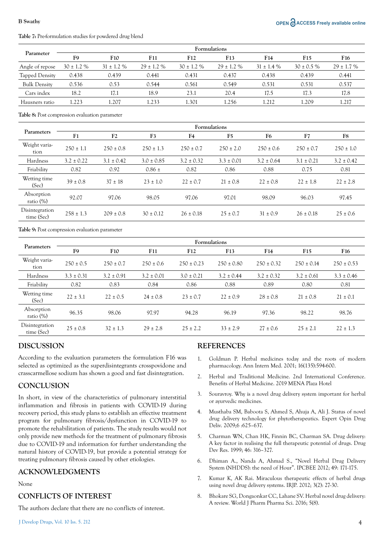# **Table 7:** Pre-formulation studies for powdered drug blend

| Parameter           | <b>Formulations</b> |                 |                 |                 |                 |                |                 |                 |
|---------------------|---------------------|-----------------|-----------------|-----------------|-----------------|----------------|-----------------|-----------------|
|                     | F9                  | <b>F10</b>      | F11             | F <sub>12</sub> | F13             | F14            | F <sub>15</sub> | F <sub>16</sub> |
| Angle of repose     | $30 \pm 1.2 \%$     | $31 \pm 1.2 \%$ | $29 \pm 1.2 \%$ | $30 \pm 1.2 \%$ | $29 \pm 1.2 \%$ | $31 \pm 1.4\%$ | $30 \pm 0.5 \%$ | $29 \pm 1.7 \%$ |
| Tapped Density      | 0.438               | 0.439           | 0.441           | 0.431           | 0.437           | 0.438          | 0.439           | 0.441           |
| <b>Bulk Density</b> | 0.536               | 0.53            | 0.544           | 0.561           | 0.549           | 0.531          | 0.531           | 0.537           |
| Cars index          | 18.2                | 17.1            | 18.9            | 23.1            | 20.4            | 17.5           | 17.3            | 17.8            |
| Hausners ratio      | 1.223               | .207            | 1.233           | 301             | .256            | 1.212          | 1.209           | 1.217           |

**Table 8:** Post compression evaluation parameter

|                              | <b>Formulations</b> |                |                |                |                |                |                |                |
|------------------------------|---------------------|----------------|----------------|----------------|----------------|----------------|----------------|----------------|
| Parameters                   | F <sub>1</sub>      | F <sub>2</sub> | F <sub>3</sub> | F4             | F <sub>5</sub> | F <sub>6</sub> | F7             | F8             |
| Weight varia-<br>tion        | $250 \pm 1.1$       | $250 \pm 0.8$  | $250 \pm 1.3$  | $250 \pm 0.7$  | $250 \pm 2.0$  | $250 \pm 0.6$  | $250 \pm 0.7$  | $250 \pm 1.0$  |
| Hardness                     | $3.2 \pm 0.22$      | $3.1 \pm 0.42$ | $3.0 \pm 0.85$ | $3.2 \pm 0.32$ | $3.3 \pm 0.01$ | $3.2 \pm 0.64$ | $3.1 \pm 0.21$ | $3.2 \pm 0.42$ |
| Friability                   | 0.82                | 0.92           | $0.86 \pm$     | 0.82           | 0.86           | 0.88           | 0.75           | 0.81           |
| Wetting time<br>(Sec)        | $39 \pm 0.8$        | $37 \pm 18$    | $23 \pm 1.0$   | $22 \pm 0.7$   | $21 \pm 0.8$   | $22 \pm 0.8$   | $22 \pm 1.8$   | $22 \pm 2.8$   |
| Absorption<br>ratio $(\%)$   | 92.07               | 97.06          | 98.05          | 97.06          | 97.01          | 98.09          | 96.03          | 97.45          |
| Disintegration<br>time (Sec) | $258 \pm 1.3$       | $209 \pm 0.8$  | $30 \pm 0.12$  | $26 \pm 0.18$  | $25 \pm 0.7$   | $31 \pm 0.9$   | $26 \pm 0.18$  | $25 \pm 0.6$   |

**Table 9:** Post compression evaluation parameter

|                              | Formulations   |                |                |                |                |                |                 |                 |
|------------------------------|----------------|----------------|----------------|----------------|----------------|----------------|-----------------|-----------------|
| Parameters                   | F9             | <b>F10</b>     | F11            | F12            | F13            | F14            | F <sub>15</sub> | F <sub>16</sub> |
| Weight varia-<br>tion        | $250 \pm 0.5$  | $250 \pm 0.7$  | $250 \pm 0.6$  | $250 \pm 0.23$ | $250 \pm 0.80$ | $250 \pm 0.32$ | $250 \pm 0.14$  | $250 \pm 0.53$  |
| Hardness                     | $3.3 \pm 0.31$ | $3.2 \pm 0.91$ | $3.2 \pm 0.01$ | $3.0 \pm 0.21$ | $3.2 \pm 0.44$ | $3.2 \pm 0.32$ | $3.2 \pm 0.61$  | $3.3 \pm 0.46$  |
| Friability                   | 0.82           | 0.83           | 0.84           | 0.86           | 0.88           | 0.89           | 0.80            | 0.81            |
| Wetting time<br>(Sec)        | $22 \pm 3.1$   | $22 \pm 0.5$   | $24 \pm 0.8$   | $23 \pm 0.7$   | $22 \pm 0.9$   | $28 \pm 0.8$   | $21 \pm 0.8$    | $21 \pm 0.1$    |
| Absorption<br>ratio $(\%)$   | 96.35          | 98.06          | 97.97          | 94.28          | 96.19          | 97.36          | 98.22           | 98.76           |
| Disintegration<br>time (Sec) | $25 \pm 0.8$   | $32 \pm 1.3$   | $29 \pm 2.8$   | $25 \pm 2.2$   | $33 \pm 2.9$   | $27 \pm 0.6$   | $25 \pm 2.1$    | $22 \pm 1.3$    |

# **DISCUSSION**

According to the evaluation parameters the formulation F16 was selected as optimized as the superdisintegrants crosspovidone and crasscarmellose sodium has shown a good and fast disintegration.

# **CONCLUSION**

In short, in view of the characteristics of pulmonary interstitial inflammation and fibrosis in patients with COVID-19 during recovery period, this study plans to establish an effective treatment program for pulmonary fibrosis/dysfunction in COVID-19 to promote the rehabilitation of patients. The study results would not only provide new methods for the treatment of pulmonary fibrosis due to COVID-19 and information for further understanding the natural history of COVID-19, but provide a potential strategy for treating pulmonary fibrosis caused by other etiologies.

# **ACKNOWLEDGMENTS**

### None

# **CONFLICTS OF INTEREST**

The authors declare that there are no conflicts of interest.

### **REFERENCES**

- 1. [Goldman P. Herbal medicines today and the roots of modern](https://doi.org/10.7326/0003-4819-135-8_part_1-200110160-00010)  [pharmacology. Ann Intern Med. 2001; 16\(135\):594-600.](https://doi.org/10.7326/0003-4819-135-8_part_1-200110160-00010)
- 2. [Herbal and Traditional Medicine. 2nd International Conference.](https://www.omicsonline.org/conferences-list/benefits-of-herbal-medicine)  [Benefits of Herbal Medicine. 2019 MENA Plaza Hotel](https://www.omicsonline.org/conferences-list/benefits-of-herbal-medicine)
- 3. Souravroy. Why is a novel drug delivery system important for herbal or ayurvedic medicines.
- 4. [Musthaba SM, Baboota S, Ahmed S, Ahuja A, Ali J. Status of novel](https://doi.org/10.1517/17425240902980154)  [drug delivery technology for phytotherapeutics. Expert Opin Drug](https://doi.org/10.1517/17425240902980154)  [Deliv. 2009;6 :625–637.](https://doi.org/10.1517/17425240902980154)
- 5. [Charman WN, Chan HK, Finnin BC, Charman SA. Drug delivery:](https://doi.org/10.1002/(SICI)1098-2299(199903/04)46:3/4%3C316::AID-DDR18%3E3.0.CO;2-E)  [A key factor in realising the full therapeutic potential of drugs. Drug](https://doi.org/10.1002/(SICI)1098-2299(199903/04)46:3/4%3C316::AID-DDR18%3E3.0.CO;2-E)  [Dev Res. 1999; 46: 316–327.](https://doi.org/10.1002/(SICI)1098-2299(199903/04)46:3/4%3C316::AID-DDR18%3E3.0.CO;2-E)
- 6. [Dhiman A., Nanda A, Ahmad S., "Novel Herbal Drug Delivery](https://doi.org/10.1517/17425240902980154)  [System \(NHDDS\): the need of Hour". IPCBEE 2012; 49:](https://doi.org/10.1517/17425240902980154) 171-175.
- 7. Kumar K, AK Rai. Miraculous therapeutic effects of herbal drugs using novel drug delivery systems. IRJP. 2012; 3(2): 27-30.
- 8. Bhokare SG, Dongaonkar CC, Lahane SV. Herbal novel drug delivery: A review. World J Pharm Pharma Sci. 2016; 5(8).